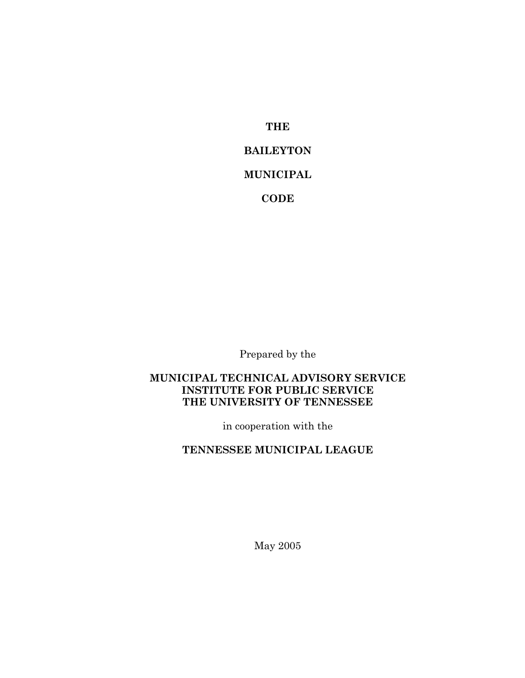**THE**

# **BAILEYTON**

#### **MUNICIPAL**

**CODE**

Prepared by the

### **MUNICIPAL TECHNICAL ADVISORY SERVICE INSTITUTE FOR PUBLIC SERVICE THE UNIVERSITY OF TENNESSEE**

in cooperation with the

# **TENNESSEE MUNICIPAL LEAGUE**

May 2005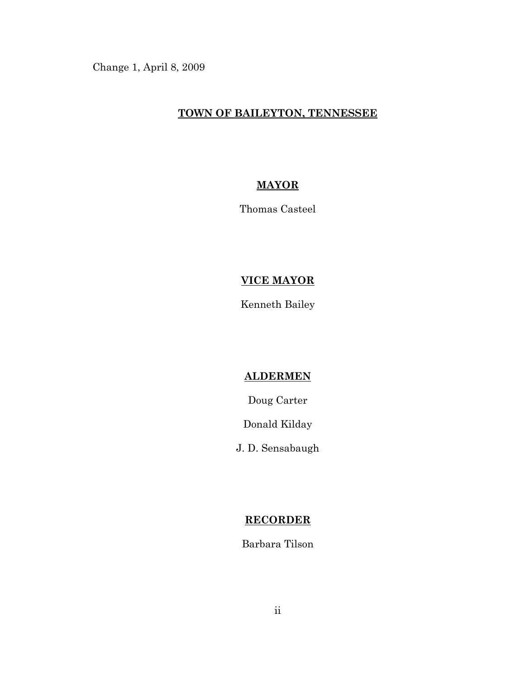Change 1, April 8, 2009

### **TOWN OF BAILEYTON, TENNESSEE**

## **MAYOR**

Thomas Casteel

# **VICE MAYOR**

Kenneth Bailey

#### **ALDERMEN**

Doug Carter

Donald Kilday

J. D. Sensabaugh

## **RECORDER**

Barbara Tilson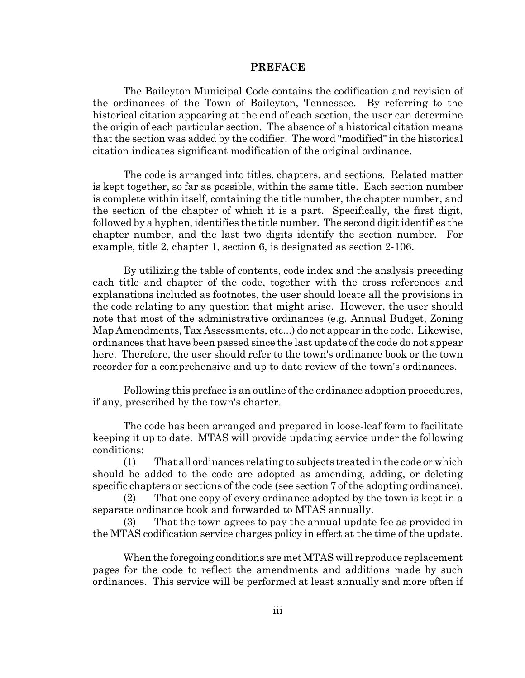#### **PREFACE**

The Baileyton Municipal Code contains the codification and revision of the ordinances of the Town of Baileyton, Tennessee. By referring to the historical citation appearing at the end of each section, the user can determine the origin of each particular section. The absence of a historical citation means that the section was added by the codifier. The word "modified" in the historical citation indicates significant modification of the original ordinance.

The code is arranged into titles, chapters, and sections. Related matter is kept together, so far as possible, within the same title. Each section number is complete within itself, containing the title number, the chapter number, and the section of the chapter of which it is a part. Specifically, the first digit, followed by a hyphen, identifies the title number. The second digit identifies the chapter number, and the last two digits identify the section number. For example, title 2, chapter 1, section 6, is designated as section 2-106.

By utilizing the table of contents, code index and the analysis preceding each title and chapter of the code, together with the cross references and explanations included as footnotes, the user should locate all the provisions in the code relating to any question that might arise. However, the user should note that most of the administrative ordinances (e.g. Annual Budget, Zoning Map Amendments, Tax Assessments, etc...) do not appear in the code. Likewise, ordinances that have been passed since the last update of the code do not appear here. Therefore, the user should refer to the town's ordinance book or the town recorder for a comprehensive and up to date review of the town's ordinances.

Following this preface is an outline of the ordinance adoption procedures, if any, prescribed by the town's charter.

The code has been arranged and prepared in loose-leaf form to facilitate keeping it up to date. MTAS will provide updating service under the following conditions:

(1) That all ordinances relating to subjects treated in the code or which should be added to the code are adopted as amending, adding, or deleting specific chapters or sections of the code (see section 7 of the adopting ordinance).

(2) That one copy of every ordinance adopted by the town is kept in a separate ordinance book and forwarded to MTAS annually.

(3) That the town agrees to pay the annual update fee as provided in the MTAS codification service charges policy in effect at the time of the update.

When the foregoing conditions are met MTAS will reproduce replacement pages for the code to reflect the amendments and additions made by such ordinances. This service will be performed at least annually and more often if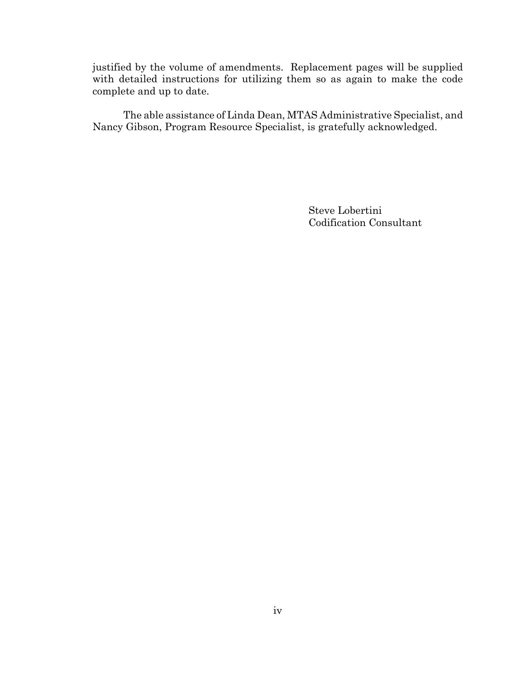justified by the volume of amendments. Replacement pages will be supplied with detailed instructions for utilizing them so as again to make the code complete and up to date.

The able assistance of Linda Dean, MTAS Administrative Specialist, and Nancy Gibson, Program Resource Specialist, is gratefully acknowledged.

> Steve Lobertini Codification Consultant